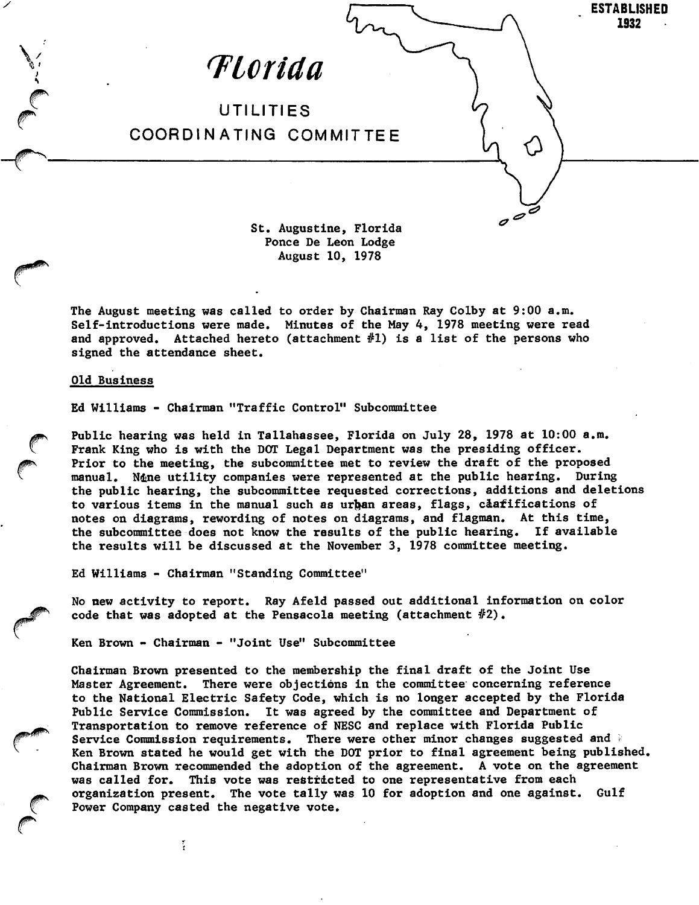

Ponce De Leon Lodge August 10, 1978

The August meeting was called to order by Chairman Ray Colby at 9:00 a.m. Self-introductions were made. Minutes of the May 4, 1978 meeting were read and approved. Attached hereto (attachment #1) is a list of the persons who signed the attendance sheet.

## Old Business

Ed Williams - Chairman "Traffic Control" Subcommittee

Public hearing was held in Tallahassee, Florida on July 28, 1978 at 10:00 a.m. Frank King who is with the DOT Legal Department was the presiding officer. Prior to the meeting, the subcommittee met to review the draft of the proposed manual. Nine utility companies were represented at the public hearing. During the public hearing, the subcommittee requested corrections, additions and deletions to various items in the manual such as urban areas, flags, caafifications of notes on diagrams, rewording of notes on diagrams, and flagman. At this time, the subcommittee does not know the results of the public hearing. If available the subcommittee does not know the results of the public hearing. the results will be discussed at the November 3, 1978 committee meeting.

Ed Williams - Chairman "Standing Committee"

 $\ddot{\cdot}$ 

No new activity to report. Ray Afeld passed out additional information on color code that was adopted at the Pensacola meeting (attachment  $#2$ ).

Ken Brown - Chairman - "Joint Use" Subcommittee

Chairman Brown presented to the membership the final draft of the Joint Use Master Agreement. There were objections in the committee' concerning reference to the National Electric Safety Code, which is no longer accepted by the Florida Public Service Commission. It was agreed by the committee and Department of Transportation to remove reference of NESC and replace with Florida Public Service Commission requirements. There were other minor changes suggested and i Ken Brown stated he would get with the DOT prior to final agreement being published. Chairman Brown recommended the adoption of the agreement. A vote on the agreement was called for. This vote was restricted to one representative from each organization present. The vote tally was 10 for adoption and one against. Gulf Power Company casted the negative vote.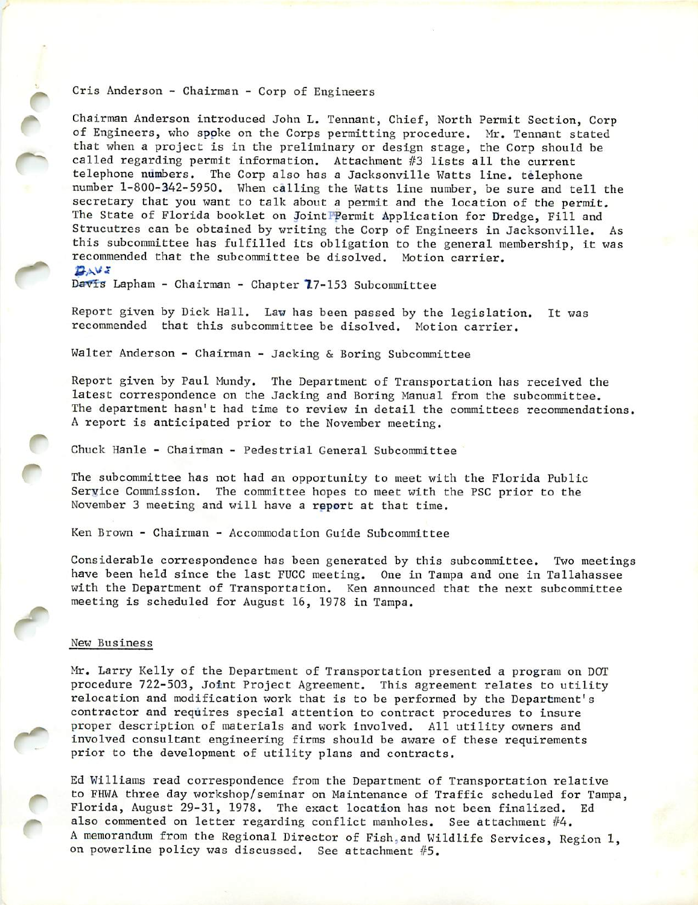## Cris Anderson - Chairman - Corp of Engineers

Chairman Anderson introduced John L. Tennant, Chief, North Permit Section, Corp of Engineers, who spoke on the Corps permitting procedure. Mr. Tennant stated that when a project is in the preliminary or design stage, the Corp should be called regarding permit information. Attachment #3 lists all the current telephone numbers. The Corp also has a Jacksonville Watts line, telephone number 1-800-342-5950. When calling the Watts line number, be sure and tell the secretary that you want to talk about a permit and the location of the permit. The State of Florida booklet on JointPPermit Application for Dredge, Fill and Strucutres can be obtained by writing the Corp of Engineers in Jacksonville. As this subcommittee has fulfilled its obligation to the general membership, it was recommended that the subcommittee be disolved. Motion carrier.

## BAVE

r

r

r-

Davis Lapham - Chairman - Chapter 17-153 Subcommittee

Report given by Dick Hall. Law has been passed by the legislation. It was recommended that this subcommittee be disolved. Motion carrier.

Walter Anderson - Chairman - Jacking & Boring Subcommittee

Report given by Paul Mundy. The Department of Transportation has received the latest correspondence on the Jacking and Boring Manual from the subcommittee. The department hasn't had time to review in detail the committees recommendations, A report is anticipated prior to the November meeting.

Chuck Hanle - Chairman - Pedestrial General Subcommittee

The subcommittee has not had an opportunity to meet with the Florida Public Service Commission. The committee hopes to meet with the PSC prior to the November 3 meeting and will have a report at that time.

Ken Brown - Chairman - Accommodation Guide Subcommittee

Considerable correspondence has been generated by this subcommittee. Two meetings have been held since the last FUCC meeting. One in Tampa and one in Tallahassee with the Department of Transportation. Ken announced that the next subcommittee meeting is scheduled for August 16, 1978 in Tampa.

## New Business

 $\overline{C}$ 

ò

Mr. Larry Kelly of the Department of Transportation presented a program on DOT procedure 722-503, Joint Project Agreement. This agreement relates to utility relocation and modification work that is to be performed by the Department's contractor and requires special attention to contract procedures to insure proper description of materials and work involved. All utility owners and involved consultant engineering firms should be aware of these requirements prior to the development of utility plans and contracts.

Ed Williams read correspondence from the Department of Transportation relative to FHWA three day workshop/seminar on Maintenance of Traffic scheduled for Tampa, Florida, August 29-31, 1978. The exact location has not been finalized. Ed also commented on letter regarding conflict manholes. See attachment #4. A memorandum from the Regional Director of Fish,and Wildlife Services, Region 1, on powerline policy was discussed. See attachment #5.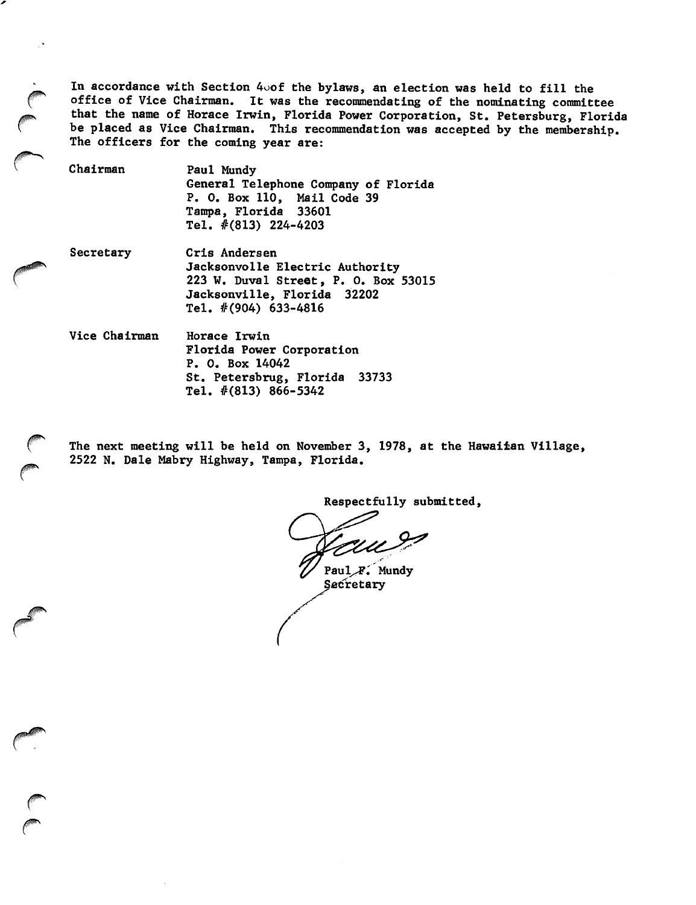In accordance with Section 4oof the bylaws, an election was held to fill the office of Vice Chairman. It was the recommendsting of the nominating committee that the name of Horace Irwin, Florida Power Corporation, St. Petersburg, Florida be placed as Vice Chairman. This recommendation was accepted by the membership. The officers for the coming year are:

Chairman Paul Mundy General Telephone Company of Florida P. 0. Box 110, Mail Code 39 Tampa, Florida 33601 Tel. #(813) 224-4203

Secretary Cris Andersen

Jacksonvolle Electric Authority 223 W. Duval Street, P. 0. Box 53015 Jacksonville, Florida 32202 Tel. #(904) 633-4816

Vice Chairman Horace Irwin Florida Power Corporation P. 0. Box 14042 St. Petersbrug, Florida 33733 Tel. #(813) 866-5342

The next meeting will be held on November 3, 1978, at the Hawaiian Village, 2522 N. Dale Mabry Highway, Tampa, Florida.

Respectfully submitted.

Paul<sub>/F.</sub> Mundy Secretary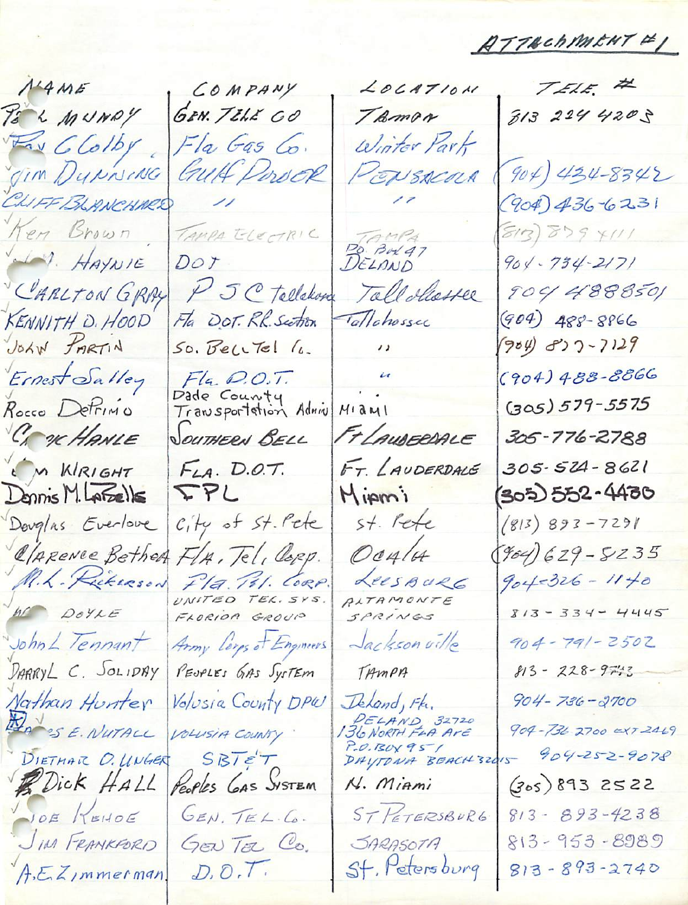$ATTEchMKHT F$ 

 $N4ME$ PS & MUNDY Fax C Colby Jim Dynning CLIFF BLANCHARD Ken Brown HAYNIE CARLTON GRAY KENNITH D. HOOD JOHN PARTIN Ernest Salley Rocco DePrimo CA OK HANLE M KIRIGHT Dennis M. LAFSEILS Douglas Everlove CLARENCE Bether M.L. Rickerson W DOYLE John L Tennant DARRYL C. SOLIDAY Nathan Hunter MANSE. NUTALL DIETHAR O. WWGER Bick HALL NOE KEHOE JIM FRANKFORD A.E.ZImmerman

COMPANY  $20CAT10M$ GEN. TELE CO TRMDA Fla Gas Co. Winter Part GUH Porock PENSACOUR  $\frac{1}{2}$ TAMPA ELECTRIC BELAND  $DoY$ P J C Tellekong Tallohesser Fla DOT. RR. Section Tallohossec  $\overline{\mathcal{L}}$ So. Bell Tel 16.  $\mu$ Fla. D.O.T.<br>Dade County<br>Transportation Admin  $M1$ a $M1$ FLAUDERDALE SOUTHERN BELL FT. LAUDERDALE  $F<sub>LA</sub>$ , D.O.T. IPL Mipmi st. Pete City of St. Pete OCHLA FLA, Tel, Copp. Fla. P.I. CORP.<br>UNITED TEL. SYS. LEESBURG RITAMONTE SPRINGS Jackson ville Army Lorps of Engineers PEUPLES GAS System TAMPA Volusia County DPW Ikland, Fk. PELAND 32720<br>136 NORTH FLA AVE VOLUSIA COUNTY P.O.BOX 95 /<br>DAYTONA BEACH 32015  $SBTET$ Peoples GAS SYSTEM N. Miami ST PETERSBURG GEN. TEL.C. JARASOTA GENTEL Co. St. Petersburg  $D, D, T$ 

TELE #  $8132244205$  $904)434-8342$  $(904)$  436-6231  $(S/3)$  $S59$   $Y111$  $904 - 734 - 2171$ 904 4888501  $(904)$  488-8866  $(904) 837 - 7129$  $(904)488 - 8866$  $(305) 579 - 5575$ 305-776-2788 305-524-8621 305) 552-4430  $(813) 893 - 7291$  $(904) 629 - 5235$  $904 - 326 - 1140$  $813 - 334 - 4445$  $904 - 791 - 2502$ 813 - 228 - 9743  $904 - 736 - 2700$ 904-736 2700 0XT 2469 904-252-9078  $(305)8932522$  $813 - 893 - 4238$ 813-953-8989  $813 - 893 - 2740$